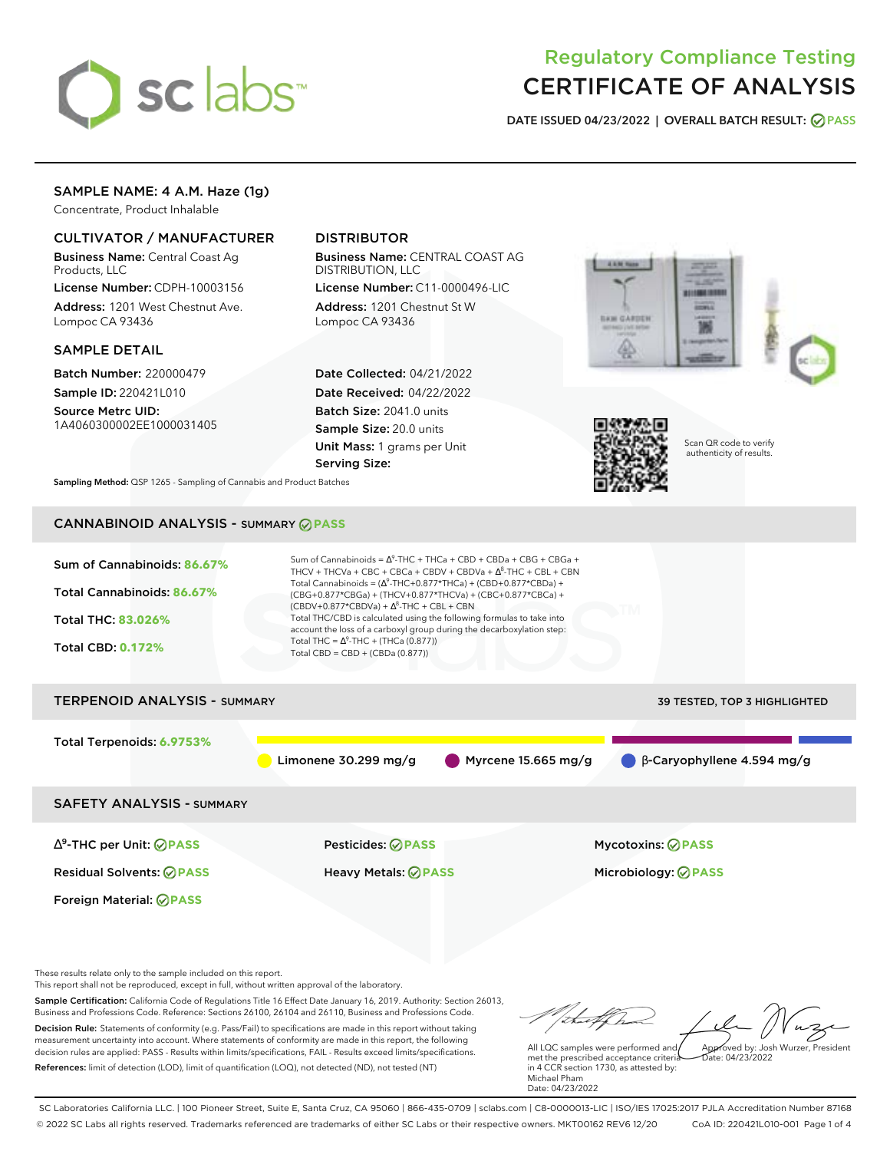

# Regulatory Compliance Testing CERTIFICATE OF ANALYSIS

**DATE ISSUED 04/23/2022 | OVERALL BATCH RESULT: PASS**

# SAMPLE NAME: 4 A.M. Haze (1g)

Concentrate, Product Inhalable

# CULTIVATOR / MANUFACTURER

Business Name: Central Coast Ag Products, LLC

License Number: CDPH-10003156 Address: 1201 West Chestnut Ave. Lompoc CA 93436

## SAMPLE DETAIL

Batch Number: 220000479 Sample ID: 220421L010

Source Metrc UID: 1A4060300002EE1000031405

# DISTRIBUTOR

Business Name: CENTRAL COAST AG DISTRIBUTION, LLC

License Number: C11-0000496-LIC Address: 1201 Chestnut St W Lompoc CA 93436

Date Collected: 04/21/2022 Date Received: 04/22/2022 Batch Size: 2041.0 units Sample Size: 20.0 units Unit Mass: 1 grams per Unit Serving Size:





Scan QR code to verify authenticity of results.

**Sampling Method:** QSP 1265 - Sampling of Cannabis and Product Batches

# CANNABINOID ANALYSIS - SUMMARY **PASS**



These results relate only to the sample included on this report.

This report shall not be reproduced, except in full, without written approval of the laboratory.

Sample Certification: California Code of Regulations Title 16 Effect Date January 16, 2019. Authority: Section 26013, Business and Professions Code. Reference: Sections 26100, 26104 and 26110, Business and Professions Code. Decision Rule: Statements of conformity (e.g. Pass/Fail) to specifications are made in this report without taking measurement uncertainty into account. Where statements of conformity are made in this report, the following decision rules are applied: PASS - Results within limits/specifications, FAIL - Results exceed limits/specifications.

References: limit of detection (LOD), limit of quantification (LOQ), not detected (ND), not tested (NT)

tu of h Approved by: Josh Wurzer, President

 $hat: 04/23/2022$ 

All LQC samples were performed and met the prescribed acceptance criteria in 4 CCR section 1730, as attested by: Michael Pham Date: 04/23/2022

SC Laboratories California LLC. | 100 Pioneer Street, Suite E, Santa Cruz, CA 95060 | 866-435-0709 | sclabs.com | C8-0000013-LIC | ISO/IES 17025:2017 PJLA Accreditation Number 87168 © 2022 SC Labs all rights reserved. Trademarks referenced are trademarks of either SC Labs or their respective owners. MKT00162 REV6 12/20 CoA ID: 220421L010-001 Page 1 of 4